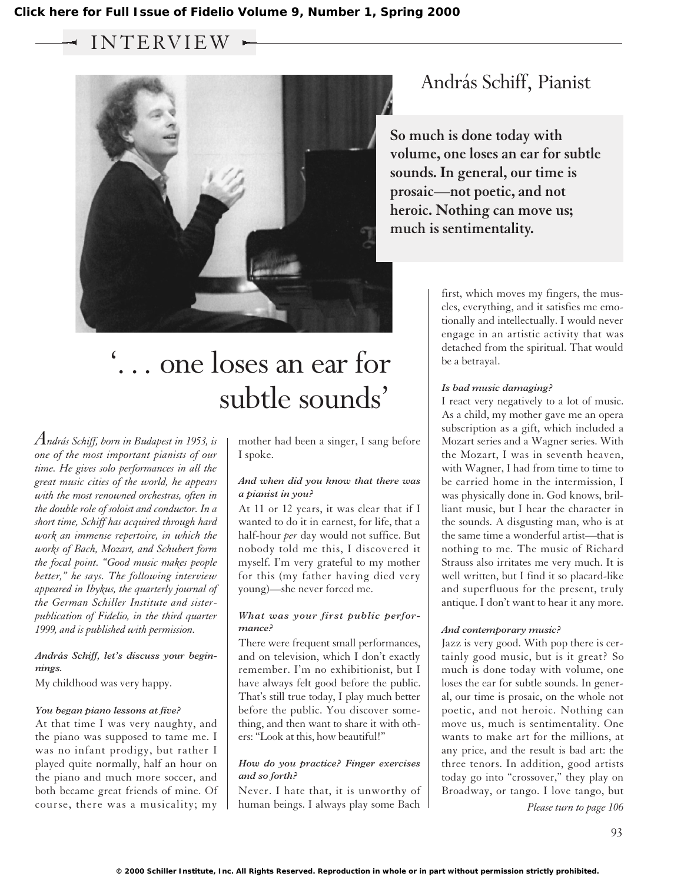$\sim$  INTERVIEW  $\sim$ 



### András Schiff, Pianist

**So much is done today with volume, one loses an ear for subtle sounds. In general, our time is prosaic—not poetic, and not heroic. Nothing can move us; much is sentimentality.**

# '... one loses an ear for subtle sounds'

*András Schiff, born in Budapest in 1953, is one of the most important pianists of our time. He gives solo performances in all the great music cities of the world, he appears with the most renowned orchestras, often in the double role of soloist and conductor. In a short time, Schiff has acquired through hard work an immense repertoire, in which the works of Bach, Mozart, and Schubert form the focal point. "Good music makes people better," he says. The following interview appeared in Ibykus, the quarterly journal of the German Schiller Institute and sisterpublication of Fidelio, in the third quarter 1999, and is published with permission.*

#### *András Schiff, let's discuss your beginnings.*

My childhood was very happy.

#### *You began piano lessons at five?*

At that time I was very naughty, and the piano was supposed to tame me. I was no infant prodigy, but rather I played quite normally, half an hour on the piano and much more soccer, and both became great friends of mine. Of course, there was a musicality; my mother had been a singer, I sang before I spoke.

#### *And when did you know that there was a pianist in you?*

At 11 or 12 years, it was clear that if I wanted to do it in earnest, for life, that a half-hour *per* day would not suffice. But nobody told me this, I discovered it myself. I'm very grateful to my mother for this (my father having died very young)—she never forced me.

#### *What was your first public performance?*

There were frequent small performances, and on television, which I don't exactly remember. I'm no exhibitionist, but I have always felt good before the public. That's still true today, I play much better before the public. You discover something, and then want to share it with others: "Look at this, how beautiful!"

#### *How do you practice? Finger exercises and so forth?*

Never. I hate that, it is unworthy of human beings. I always play some Bach first, which moves my fingers, the muscles, everything, and it satisfies me emotionally and intellectually. I would never engage in an artistic activity that was detached from the spiritual. That would be a betrayal.

#### *Is bad music damaging?*

I react very negatively to a lot of music. As a child, my mother gave me an opera subscription as a gift, which included a Mozart series and a Wagner series. With the Mozart, I was in seventh heaven, with Wagner, I had from time to time to be carried home in the intermission, I was physically done in. God knows, brilliant music, but I hear the character in the sounds. A disgusting man, who is at the same time a wonderful artist—that is nothing to me. The music of Richard Strauss also irritates me very much. It is well written, but I find it so placard-like and superfluous for the present, truly antique. I don't want to hear it any more.

#### *And contemporary music?*

Jazz is very good. With pop there is certainly good music, but is it great? So much is done today with volume, one loses the ear for subtle sounds. In general, our time is prosaic, on the whole not poetic, and not heroic. Nothing can move us, much is sentimentality. One wants to make art for the millions, at any price, and the result is bad art: the three tenors. In addition, good artists today go into "crossover," they play on Broadway, or tango. I love tango, but

*Please turn to page 106*